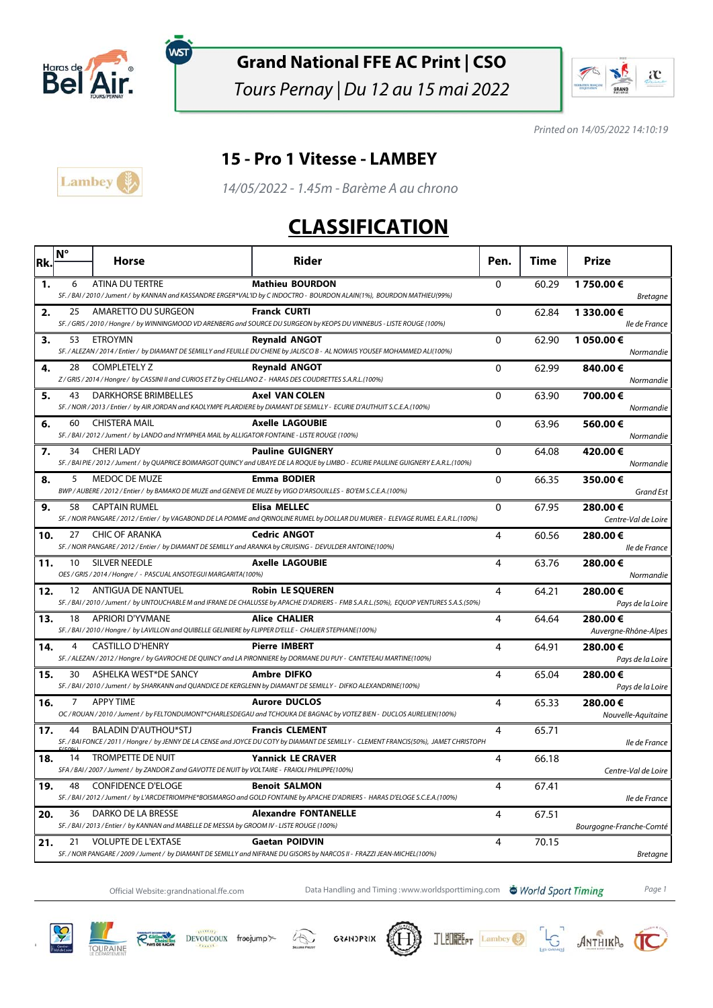

์พรา

### **Grand National FFE AC Print | CSO**

Tours Pernay | Du 12 au 15 mai 2022



Printed on 14/05/2022 14:10:19

#### **15 - Pro 1 Vitesse - LAMBEY**



14/05/2022 - 1.45m - Barème A au chrono

# **CLASSIFICATION**

| Rk. | Ν° | Horse                                                                                                                         | Rider                                                                                                                                                            | Pen.         | Time  | Prize                           |
|-----|----|-------------------------------------------------------------------------------------------------------------------------------|------------------------------------------------------------------------------------------------------------------------------------------------------------------|--------------|-------|---------------------------------|
| 1.  | 6  | ATINA DU TERTRE                                                                                                               | <b>Mathieu BOURDON</b>                                                                                                                                           | $\mathbf{0}$ | 60.29 | 1750.00€                        |
|     |    |                                                                                                                               | SF. / BAI / 2010 / Jument / by KANNAN and KASSANDRE ERGER*VAL'ID by C INDOCTRO - BOURDON ALAIN(1%), BOURDON MATHIEU(99%)                                         |              |       | <b>Bretagne</b>                 |
| 2.  | 25 | AMARETTO DU SURGEON                                                                                                           | <b>Franck CURTI</b><br>SF. / GRIS / 2010 / Hongre / by WINNINGMOOD VD ARENBERG and SOURCE DU SURGEON by KEOPS DU VINNEBUS - LISTE ROUGE (100%)                   | $\Omega$     | 62.84 | 1 330.00€                       |
|     |    |                                                                                                                               |                                                                                                                                                                  |              |       | lle de France                   |
| з.  |    | 53 ETROYMN                                                                                                                    | <b>Reynald ANGOT</b><br>SF. / ALEZAN / 2014 / Entier / by DIAMANT DE SEMILLY and FEUILLE DU CHENE by JALISCO B - AL NOWAIS YOUSEF MOHAMMED ALI(100%)             | $\Omega$     | 62.90 | 1 050.00€<br>Normandie          |
| 4.  | 28 | <b>COMPLETELY Z</b>                                                                                                           | <b>Reynald ANGOT</b>                                                                                                                                             | 0            | 62.99 | 840.00€                         |
|     |    | Z / GRIS / 2014 / Hongre / by CASSINI II and CURIOS ET Z by CHELLANO Z - HARAS DES COUDRETTES S.A.R.L.(100%)                  |                                                                                                                                                                  |              |       | Normandie                       |
| 5.  | 43 | <b>DARKHORSE BRIMBELLES</b>                                                                                                   | <b>Axel VAN COLEN</b><br>SF. / NOIR / 2013 / Entier / by AIR JORDAN and KAOLYMPE PLARDIERE by DIAMANT DE SEMILLY - ECURIE D'AUTHUIT S.C.E.A. (100%)              | $\mathbf 0$  | 63.90 | 700.00€                         |
|     | 60 | <b>CHISTERA MAIL</b>                                                                                                          | <b>Axelle LAGOUBIE</b>                                                                                                                                           |              |       | Normandie                       |
| 6.  |    | SF. / BAI / 2012 / Jument / by LANDO and NYMPHEA MAIL by ALLIGATOR FONTAINE - LISTE ROUGE (100%)                              |                                                                                                                                                                  | 0            | 63.96 | 560.00€<br>Normandie            |
| 7.  | 34 | <b>CHERI LADY</b>                                                                                                             | <b>Pauline GUIGNERY</b>                                                                                                                                          | $\Omega$     | 64.08 | 420.00€                         |
|     |    |                                                                                                                               | SF. / BAI PIE / 2012 / Jument / by QUAPRICE BOIMARGOT QUINCY and UBAYE DE LA ROQUE by LIMBO - ECURIE PAULINE GUIGNERY E.A.R.L.(100%)                             |              |       | Normandie                       |
| 8.  | 5  | MEDOC DE MUZE                                                                                                                 | <b>Emma BODIER</b>                                                                                                                                               | 0            | 66.35 | 350.00€                         |
|     |    |                                                                                                                               | BWP / AUBERE / 2012 / Entier / by BAMAKO DE MUZE and GENEVE DE MUZE by VIGO D'ARSOUILLES - BO'EM S.C.E.A.(100%)                                                  |              |       | Grand Est                       |
| 9.  | 58 | <b>CAPTAIN RUMEL</b>                                                                                                          | <b>Elisa MELLEC</b><br>SF. / NOIR PANGARE / 2012 / Entier / by VAGABOND DE LA POMME and QRINOLINE RUMEL by DOLLAR DU MURIER - ELEVAGE RUMEL E.A.R.L.(100%)       | $\mathbf{0}$ | 67.95 | 280.00€<br>Centre-Val de Loire  |
| 10. | 27 | CHIC OF ARANKA                                                                                                                | <b>Cedric ANGOT</b>                                                                                                                                              | 4            | 60.56 | 280.00€                         |
|     |    | SF. / NOIR PANGARE / 2012 / Entier / by DIAMANT DE SEMILLY and ARANKA by CRUISING - DEVULDER ANTOINE(100%)                    |                                                                                                                                                                  |              |       | lle de France                   |
| 11. | 10 | <b>SILVER NEEDLE</b>                                                                                                          | <b>Axelle LAGOUBIE</b>                                                                                                                                           | 4            | 63.76 | 280.00€                         |
|     |    | OES / GRIS / 2014 / Hongre / - PASCUAL ANSOTEGUI MARGARITA(100%)                                                              |                                                                                                                                                                  |              |       | Normandie                       |
| 12. | 12 | <b>ANTIGUA DE NANTUEL</b>                                                                                                     | <b>Robin LE SQUEREN</b>                                                                                                                                          | 4            | 64.21 | 280.00€                         |
|     |    |                                                                                                                               | SF. / BAI / 2010 / Jument / by UNTOUCHABLE M and IFRANE DE CHALUSSE by APACHE D'ADRIERS - FMB S.A.R.L.(50%), EQUOP VENTURES S.A.S.(50%)                          |              |       | Pays de la Loire                |
| 13. | 18 | APRIORI D'YVMANE<br>SF. / BAI / 2010 / Hongre / by LAVILLON and QUIBELLE GELINIERE by FLIPPER D'ELLE - CHALIER STEPHANE(100%) | <b>Alice CHALIER</b>                                                                                                                                             | 4            | 64.64 | 280.00€<br>Auvergne-Rhône-Alpes |
| 14. | 4  | <b>CASTILLO D'HENRY</b>                                                                                                       | <b>Pierre IMBERT</b>                                                                                                                                             | 4            | 64.91 | 280.00€                         |
|     |    |                                                                                                                               | SF. / ALEZAN / 2012 / Hongre / by GAVROCHE DE QUINCY and LA PIRONNIERE by DORMANE DU PUY - CANTETEAU MARTINE(100%)                                               |              |       | Pays de la Loire                |
| 15. | 30 | ASHELKA WEST*DE SANCY                                                                                                         | <b>Ambre DIFKO</b>                                                                                                                                               | 4            | 65.04 | 280.00€                         |
|     |    |                                                                                                                               | SF. / BAI / 2010 / Jument / by SHARKANN and QUANDICE DE KERGLENN by DIAMANT DE SEMILLY - DIFKO ALEXANDRINE(100%)                                                 |              |       | Pays de la Loire                |
| 16. | 7  | <b>APPY TIME</b>                                                                                                              | <b>Aurore DUCLOS</b>                                                                                                                                             | 4            | 65.33 | 280.00€                         |
|     |    | <b>BALADIN D'AUTHOU*STJ</b>                                                                                                   | OC / ROUAN / 2010 / Jument / by FELTONDUMONT*CHARLESDEGAU and TCHOUKA DE BAGNAC by VOTEZ BIEN - DUCLOS AURELIEN(100%)                                            | 4            |       | Nouvelle-Aquitaine              |
| 17. | 44 |                                                                                                                               | <b>Francis CLEMENT</b><br>SF. / BAI FONCE / 2011 / Hongre / by JENNY DE LA CENSE and JOYCE DU COTY by DIAMANT DE SEMILLY - CLEMENT FRANCIS(50%), JAMET CHRISTOPH |              | 65.71 | lle de France                   |
| 18. | 14 | <b>TROMPETTE DE NUIT</b>                                                                                                      | <b>Yannick LE CRAVER</b>                                                                                                                                         | 4            | 66.18 |                                 |
|     |    | SFA / BAI / 2007 / Jument / by ZANDOR Z and GAVOTTE DE NUIT by VOLTAIRE - FRAIOLI PHILIPPE(100%)                              |                                                                                                                                                                  |              |       | Centre-Val de Loire             |
| 19. | 48 | <b>CONFIDENCE D'ELOGE</b>                                                                                                     | <b>Benoit SALMON</b>                                                                                                                                             | 4            | 67.41 |                                 |
|     |    |                                                                                                                               | SF. / BAI / 2012 / Jument / by L'ARCDETRIOMPHE*BOISMARGO and GOLD FONTAINE by APACHE D'ADRIERS - HARAS D'ELOGE S.C.E.A. (100%)                                   |              |       | lle de France                   |
| 20. | 36 | DARKO DE LA BRESSE<br>SF./BAI/2013/Entier/ by KANNAN and MABELLE DE MESSIA by GROOM IV - LISTE ROUGE (100%)                   | <b>Alexandre FONTANELLE</b>                                                                                                                                      | 4            | 67.51 |                                 |
| 21. | 21 | <b>VOLUPTE DE L'EXTASE</b>                                                                                                    | <b>Gaetan POIDVIN</b>                                                                                                                                            | 4            | 70.15 | Bourgogne-Franche-Comté         |
|     |    |                                                                                                                               | SF. / NOIR PANGARE / 2009 / Jument / by DIAMANT DE SEMILLY and NIFRANE DU GISORS by NARCOS II - FRAZZI JEAN-MICHEL(100%)                                         |              |       | <b>Bretagne</b>                 |

Official Website:grandnational.ffe.com Data Handling and Timing :www.worldsporttiming.com World Sport Timing Page 1













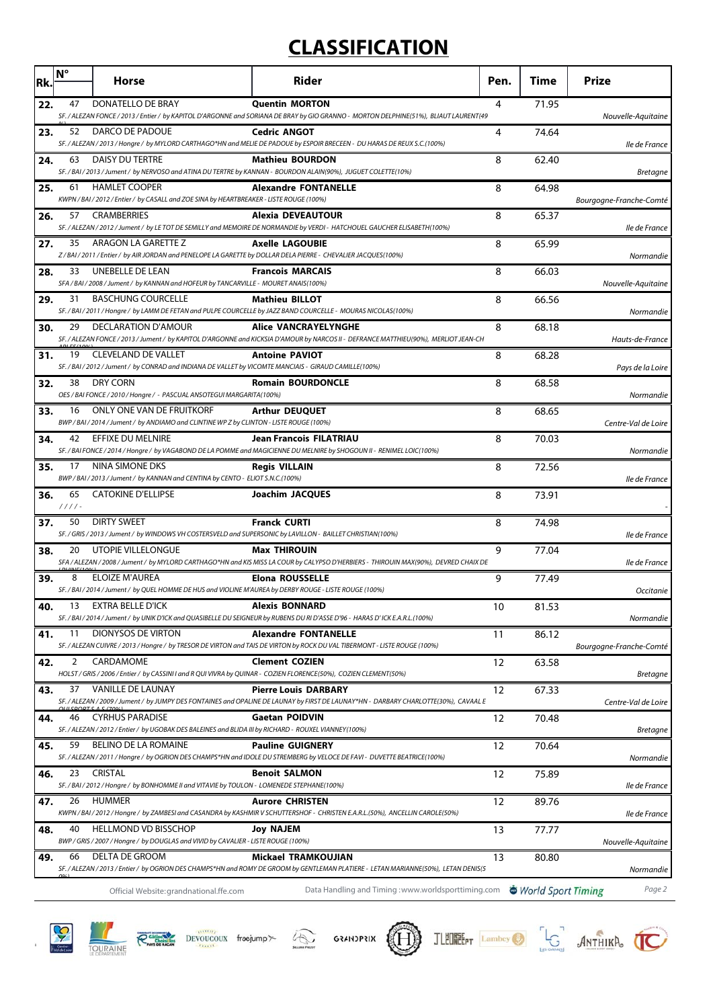# **CLASSIFICATION**

| Rk. | $N^{\circ}$    | Horse                                                                                                                                  | Rider                                                                                                                                                               | Pen. | <b>Time</b>        | <b>Prize</b>            |
|-----|----------------|----------------------------------------------------------------------------------------------------------------------------------------|---------------------------------------------------------------------------------------------------------------------------------------------------------------------|------|--------------------|-------------------------|
| 22. | 47             | DONATELLO DE BRAY                                                                                                                      | <b>Quentin MORTON</b><br>SF. / ALEZAN FONCE / 2013 / Entier / by KAPITOL D'ARGONNE and SORIANA DE BRAY by GIO GRANNO - MORTON DELPHINE(51%), BLIAUT LAURENT(49      | 4    | 71.95              | Nouvelle-Aquitaine      |
| 23. | 52             | DARCO DE PADOUE                                                                                                                        | <b>Cedric ANGOT</b><br>SF. / ALEZAN / 2013 / Hongre / by MYLORD CARTHAGO*HN and MELIE DE PADOUE by ESPOIR BRECEEN - DU HARAS DE REUX S.C.(100%)                     | 4    | 74.64              | lle de France           |
| 24. | 63             | DAISY DU TERTRE                                                                                                                        | <b>Mathieu BOURDON</b><br>SF. / BAI / 2013 / Jument / by NERVOSO and ATINA DU TERTRE by KANNAN - BOURDON ALAIN(90%), JUGUET COLETTE(10%)                            | 8    | 62.40              | <b>Bretagne</b>         |
| 25. | 61             | <b>HAMLET COOPER</b><br>KWPN / BAI / 2012 / Entier / by CASALL and ZOE SINA by HEARTBREAKER - LISTE ROUGE (100%)                       | <b>Alexandre FONTANELLE</b>                                                                                                                                         | 8    | 64.98              | Bourgogne-Franche-Comté |
| 26. | 57             | <b>CRAMBERRIES</b>                                                                                                                     | Alexia DEVEAUTOUR<br>SF. / ALEZAN / 2012 / Jument / by LE TOT DE SEMILLY and MEMOIRE DE NORMANDIE by VERDI - HATCHOUEL GAUCHER ELISABETH(100%)                      | 8    | 65.37              | lle de France           |
| 27. | 35             | ARAGON LA GARETTE Z<br>Z / BAI / 2011 / Entier / by AIR JORDAN and PENELOPE LA GARETTE by DOLLAR DELA PIERRE - CHEVALIER JACQUES(100%) | <b>Axelle LAGOUBIE</b>                                                                                                                                              | 8    | 65.99              | Normandie               |
| 28. | 33             | UNEBELLE DE LEAN<br>SFA / BAI / 2008 / Jument / by KANNAN and HOFEUR by TANCARVILLE - MOURET ANAIS(100%)                               | <b>Francois MARCAIS</b>                                                                                                                                             | 8    | 66.03              | Nouvelle-Aquitaine      |
| 29. | 31             | <b>BASCHUNG COURCELLE</b>                                                                                                              | <b>Mathieu BILLOT</b><br>SF. / BAI / 2011 / Hongre / by LAMM DE FETAN and PULPE COURCELLE by JAZZ BAND COURCELLE - MOURAS NICOLAS(100%)                             | 8    | 66.56              | Normandie               |
| 30. | 29             | DECLARATION D'AMOUR                                                                                                                    | <b>Alice VANCRAYELYNGHE</b><br>SF. / ALEZAN FONCE / 2013 / Jument / by KAPITOL D'ARGONNE and KICKSIA D'AMOUR by NARCOS II - DEFRANCE MATTHIEU(90%), MERLIOT JEAN-CH | 8    | 68.18              | Hauts-de-France         |
| 31. | 19             | <b>CLEVELAND DE VALLET</b><br>SF./BAI/2012/Jument/ by CONRAD and INDIANA DE VALLET by VICOMTE MANCIAIS - GIRAUD CAMILLE(100%)          | <b>Antoine PAVIOT</b>                                                                                                                                               | 8    | 68.28              | Pays de la Loire        |
| 32. | 38             | <b>DRY CORN</b><br>OES / BAI FONCE / 2010 / Hongre / - PASCUAL ANSOTEGUI MARGARITA(100%)                                               | <b>Romain BOURDONCLE</b>                                                                                                                                            | 8    | 68.58              | Normandie               |
| 33. | 16             | ONLY ONE VAN DE FRUITKORF<br>BWP / BAI / 2014 / Jument / by ANDIAMO and CLINTINE WP Z by CLINTON - LISTE ROUGE (100%)                  | <b>Arthur DEUQUET</b>                                                                                                                                               | 8    | 68.65              | Centre-Val de Loire     |
| 34. | 42             | EFFIXE DU MELNIRE                                                                                                                      | Jean Francois FILATRIAU<br>SF. / BAI FONCE / 2014 / Hongre / by VAGABOND DE LA POMME and MAGICIENNE DU MELNIRE by SHOGOUN II - RENIMEL LOIC(100%)                   | 8    | 70.03              | Normandie               |
| 35. | 17             | NINA SIMONE DKS<br>BWP/BAI/2013/Jument/ by KANNAN and CENTINA by CENTO - ELIOT S.N.C.(100%)                                            | <b>Regis VILLAIN</b>                                                                                                                                                | 8    | 72.56              | lle de France           |
| 36. | 65<br>$1111 -$ | <b>CATOKINE D'ELLIPSE</b>                                                                                                              | <b>Joachim JACQUES</b>                                                                                                                                              | 8    | 73.91              |                         |
| 37. | 50             | <b>DIRTY SWEET</b><br>SF. / GRIS / 2013 / Jument / by WINDOWS VH COSTERSVELD and SUPERSONIC by LAVILLON - BAILLET CHRISTIAN(100%)      | <b>Franck CURTI</b>                                                                                                                                                 | 8    | 74.98              | lle de France           |
| 38. | 20             | UTOPIE VILLELONGUE                                                                                                                     | <b>Max THIROUIN</b><br>SFA / ALEZAN / 2008 / Jument / by MYLORD CARTHAGO*HN and KIS MISS LA COUR by CALYPSO D'HERBIERS - THIROUIN MAX(90%), DEVRED CHAIX DE         | 9    | 77.04              | lle de France           |
| 39. | 8              | ELOIZE M'AUREA<br>SF. / BAI / 2014 / Jument / by QUEL HOMME DE HUS and VIOLINE M'AUREA by DERBY ROUGE - LISTE ROUGE (100%)             | <b>Elona ROUSSELLE</b>                                                                                                                                              | 9    | 77.49              | Occitanie               |
| 40. | 13             | EXTRA BELLE D'ICK                                                                                                                      | <b>Alexis BONNARD</b><br>SF./BAI/2014/Jument/ by UNIK D'ICK and QUASIBELLE DU SEIGNEUR by RUBENS DU RI D'ASSE D'96 - HARAS D'ICK E.A.R.L.(100%)                     | 10   | 81.53              | Normandie               |
| 41. | 11             | <b>DIONYSOS DE VIRTON</b>                                                                                                              | <b>Alexandre FONTANELLE</b><br>SF. / ALEZAN CUIVRE / 2013 / Hongre / by TRESOR DE VIRTON and TAIS DE VIRTON by ROCK DU VAL TIBERMONT - LISTE ROUGE (100%)           | 11   | 86.12              | Bourgogne-Franche-Comté |
| 42. | 2              | CARDAMOME<br>HOLST / GRIS / 2006 / Entier / by CASSINI I and R QUI VIVRA by QUINAR - COZIEN FLORENCE(50%), COZIEN CLEMENT(50%)         | <b>Clement COZIEN</b>                                                                                                                                               | 12   | 63.58              | Bretagne                |
| 43. | 37             | VANILLE DE LAUNAY                                                                                                                      | <b>Pierre Louis DARBARY</b><br>SF. / ALEZAN / 2009 / Jument / by JUMPY DES FONTAINES and OPALINE DE LAUNAY by FIRST DE LAUNAY*HN - DARBARY CHARLOTTE(30%), CAVAAL E | 12   | 67.33              | Centre-Val de Loire     |
| 44. | 46             | <b>CYRHUS PARADISE</b><br>SF./ALEZAN/2012/Entier/ by UGOBAK DES BALEINES and BLIDA III by RICHARD - ROUXEL VIANNEY(100%)               | <b>Gaetan POIDVIN</b>                                                                                                                                               | 12   | 70.48              | Bretagne                |
| 45. | 59             | BELINO DE LA ROMAINE                                                                                                                   | <b>Pauline GUIGNERY</b><br>SF. / ALEZAN / 2011 / Hongre / by OGRION DES CHAMPS*HN and IDOLE DU STREMBERG by VELOCE DE FAVI - DUVETTE BEATRICE(100%)                 | 12   | 70.64              | Normandie               |
| 46. | 23             | <b>CRISTAL</b><br>SF./BAI/2012/Hongre/by BONHOMME II and VITAVIE by TOULON - LOMENEDE STEPHANE(100%)                                   | <b>Benoit SALMON</b>                                                                                                                                                | 12   | 75.89              | lle de France           |
| 47. | 26             | <b>HUMMER</b>                                                                                                                          | <b>Aurore CHRISTEN</b><br>KWPN / BAI / 2012 / Hongre / by ZAMBESI and CASANDRA by KASHMIR V SCHUTTERSHOF - CHRISTEN E.A.R.L.(50%), ANCELLIN CAROLE(50%)             | 12   | 89.76              | lle de France           |
| 48. | 40             | <b>HELLMOND VD BISSCHOP</b><br>BWP / GRIS / 2007 / Hongre / by DOUGLAS and VIVID by CAVALIER - LISTE ROUGE (100%)                      | <b>Joy NAJEM</b>                                                                                                                                                    | 13   | 77.77              | Nouvelle-Aquitaine      |
| 49. | 66             | DELTA DE GROOM                                                                                                                         | Mickael TRAMKOUJIAN<br>SF. / ALEZAN / 2013 / Entier / by OGRION DES CHAMPS*HN and ROMY DE GROOM by GENTLEMAN PLATIERE - LETAN MARIANNE(50%), LETAN DENIS(5          | 13   | 80.80              | Normandie               |
|     |                | Official Website: grandnational.ffe.com                                                                                                | Data Handling and Timing: www.worldsporttiming.com                                                                                                                  |      | World Sport Timing | Page 2                  |